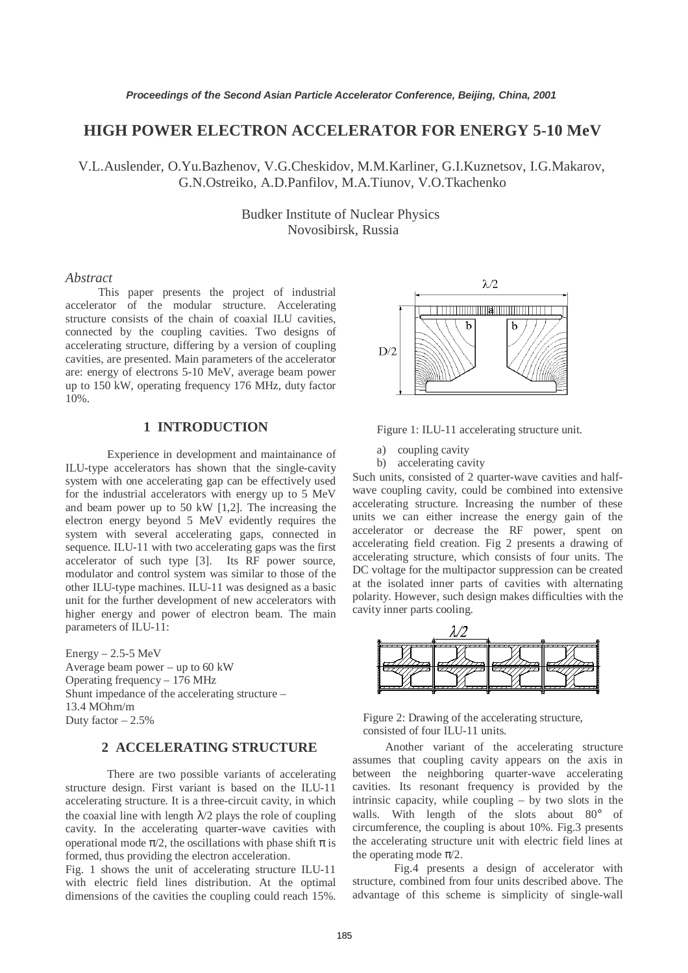# **HIGH POWER ELECTRON ACCELERATOR FOR ENERGY 5-10 MeV**

V.L.Auslender, O.Yu.Bazhenov, V.G.Cheskidov, M.M.Karliner, G.I.Kuznetsov, I.G.Makarov, G.N.Ostreiko, A.D.Panfilov, M.A.Tiunov, V.O.Tkachenko

> Budker Institute of Nuclear Physics Novosibirsk, Russia

#### *Abstract*

This paper presents the project of industrial accelerator of the modular structure. Accelerating structure consists of the chain of coaxial ILU cavities, connected by the coupling cavities. Two designs of accelerating structure, differing by a version of coupling cavities, are presented. Main parameters of the accelerator are: energy of electrons 5-10 MeV, average beam power up to 150 kW, operating frequency 176 MHz, duty factor 10%.

## **1 INTRODUCTION**

Experience in development and maintainance of ILU-type accelerators has shown that the single-cavity system with one accelerating gap can be effectively used for the industrial accelerators with energy up to 5 MeV and beam power up to 50 kW [1,2]. The increasing the electron energy beyond 5 MeV evidently requires the system with several accelerating gaps, connected in sequence. ILU-11 with two accelerating gaps was the first accelerator of such type [3]. Its RF power source, modulator and control system was similar to those of the other ILU-type machines. ILU-11 was designed as a basic unit for the further development of new accelerators with higher energy and power of electron beam. The main parameters of ILU-11:

 $Energy - 2.5 - 5 MeV$ Average beam power – up to 60 kW Operating frequency – 176 MHz Shunt impedance of the accelerating structure – 13.4 MOhm/m Duty factor  $-2.5%$ 

#### **2 ACCELERATING STRUCTURE**

There are two possible variants of accelerating structure design. First variant is based on the ILU-11 accelerating structure. It is a three-circuit cavity, in which the coaxial line with length  $\lambda/2$  plays the role of coupling cavity. In the accelerating quarter-wave cavities with operational mode  $\pi/2$ , the oscillations with phase shift  $\pi$  is formed, thus providing the electron acceleration.

Fig. 1 shows the unit of accelerating structure ILU-11 with electric field lines distribution. At the optimal dimensions of the cavities the coupling could reach 15%.



Figure 1: ILU-11 accelerating structure unit.

- a) coupling cavity
- b) accelerating cavity

Such units, consisted of 2 quarter-wave cavities and halfwave coupling cavity, could be combined into extensive accelerating structure. Increasing the number of these units we can either increase the energy gain of the accelerator or decrease the RF power, spent on accelerating field creation. Fig 2 presents a drawing of accelerating structure, which consists of four units. The DC voltage for the multipactor suppression can be created at the isolated inner parts of cavities with alternating polarity. However, such design makes difficulties with the cavity inner parts cooling.



Figure 2: Drawing of the accelerating structure, consisted of four ILU-11 units.

 Another variant of the accelerating structure assumes that coupling cavity appears on the axis in between the neighboring quarter-wave accelerating cavities. Its resonant frequency is provided by the intrinsic capacity, while coupling – by two slots in the walls. With length of the slots about 80° of circumference, the coupling is about 10%. Fig.3 presents the accelerating structure unit with electric field lines at the operating mode  $\pi/2$ .

Fig.4 presents a design of accelerator with structure, combined from four units described above. The advantage of this scheme is simplicity of single-wall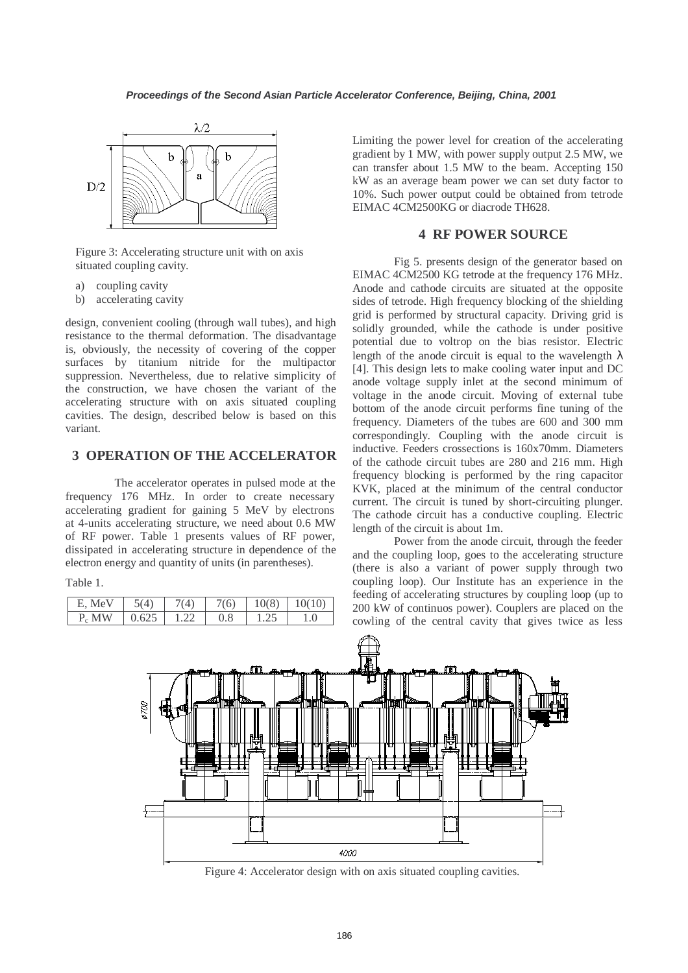

Figure 3: Accelerating structure unit with on axis situated coupling cavity.

- a) coupling cavity
- b) accelerating cavity

design, convenient cooling (through wall tubes), and high resistance to the thermal deformation. The disadvantage is, obviously, the necessity of covering of the copper surfaces by titanium nitride for the multipactor suppression. Nevertheless, due to relative simplicity of the construction, we have chosen the variant of the accelerating structure with on axis situated coupling cavities. The design, described below is based on this variant.

## **3 OPERATION OF THE ACCELERATOR**

The accelerator operates in pulsed mode at the frequency 176 MHz. In order to create necessary accelerating gradient for gaining 5 MeV by electrons at 4-units accelerating structure, we need about 0.6 MW of RF power. Table 1 presents values of RF power, dissipated in accelerating structure in dependence of the electron energy and quantity of units (in parentheses).

Table 1.

| MeV<br>F.       |              | (6)     | (8)<br>U<br>10' |  |
|-----------------|--------------|---------|-----------------|--|
| <b>MW</b><br>P, | 62<br>ت سے ا | $0.8\,$ |                 |  |

Limiting the power level for creation of the accelerating gradient by 1 MW, with power supply output 2.5 MW, we can transfer about 1.5 MW to the beam. Accepting 150 kW as an average beam power we can set duty factor to 10%. Such power output could be obtained from tetrode EIMAC 4CM2500KG or diacrode TH628.

### **4 RF POWER SOURCE**

Fig 5. presents design of the generator based on EIMAC 4CM2500 KG tetrode at the frequency 176 MHz. Anode and cathode circuits are situated at the opposite sides of tetrode. High frequency blocking of the shielding grid is performed by structural capacity. Driving grid is solidly grounded, while the cathode is under positive potential due to voltrop on the bias resistor. Electric length of the anode circuit is equal to the wavelength  $\lambda$ [4]. This design lets to make cooling water input and DC anode voltage supply inlet at the second minimum of voltage in the anode circuit. Moving of external tube bottom of the anode circuit performs fine tuning of the frequency. Diameters of the tubes are 600 and 300 mm correspondingly. Coupling with the anode circuit is inductive. Feeders crossections is 160x70mm. Diameters of the cathode circuit tubes are 280 and 216 mm. High frequency blocking is performed by the ring capacitor KVK, placed at the minimum of the central conductor current. The circuit is tuned by short-circuiting plunger. The cathode circuit has a conductive coupling. Electric length of the circuit is about 1m.

Power from the anode circuit, through the feeder and the coupling loop, goes to the accelerating structure (there is also a variant of power supply through two coupling loop). Our Institute has an experience in the feeding of accelerating structures by coupling loop (up to 200 kW of continuos power). Couplers are placed on the cowling of the central cavity that gives twice as less



Figure 4: Accelerator design with on axis situated coupling cavities.